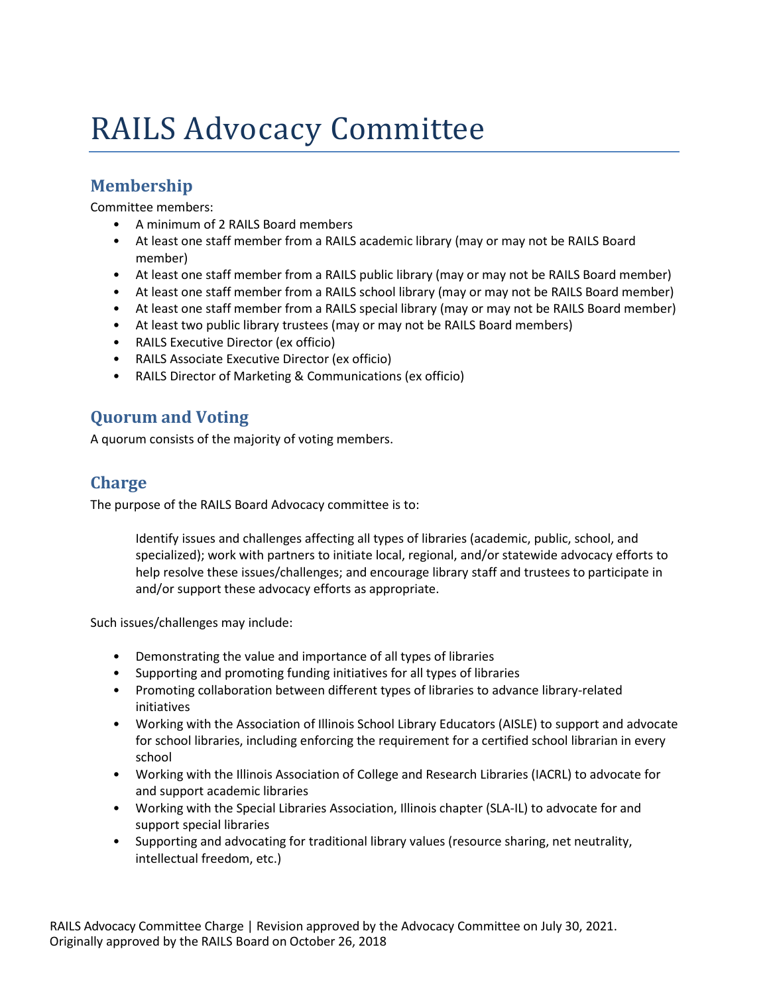## RAILS Advocacy Committee

## **Membership**

Committee members:

- A minimum of 2 RAILS Board members
- At least one staff member from a RAILS academic library (may or may not be RAILS Board member)
- At least one staff member from a RAILS public library (may or may not be RAILS Board member)
- At least one staff member from a RAILS school library (may or may not be RAILS Board member)
- At least one staff member from a RAILS special library (may or may not be RAILS Board member)
- At least two public library trustees (may or may not be RAILS Board members)
- RAILS Executive Director (ex officio)
- RAILS Associate Executive Director (ex officio)
- RAILS Director of Marketing & Communications (ex officio)

## **Quorum and Voting**

A quorum consists of the majority of voting members.

## **Charge**

The purpose of the RAILS Board Advocacy committee is to:

Identify issues and challenges affecting all types of libraries (academic, public, school, and specialized); work with partners to initiate local, regional, and/or statewide advocacy efforts to help resolve these issues/challenges; and encourage library staff and trustees to participate in and/or support these advocacy efforts as appropriate.

Such issues/challenges may include:

- Demonstrating the value and importance of all types of libraries
- Supporting and promoting funding initiatives for all types of libraries
- Promoting collaboration between different types of libraries to advance library-related initiatives
- Working with the Association of Illinois School Library Educators (AISLE) to support and advocate for school libraries, including enforcing the requirement for a certified school librarian in every school
- Working with the Illinois Association of College and Research Libraries (IACRL) to advocate for and support academic libraries
- Working with the Special Libraries Association, Illinois chapter (SLA-IL) to advocate for and support special libraries
- Supporting and advocating for traditional library values (resource sharing, net neutrality, intellectual freedom, etc.)